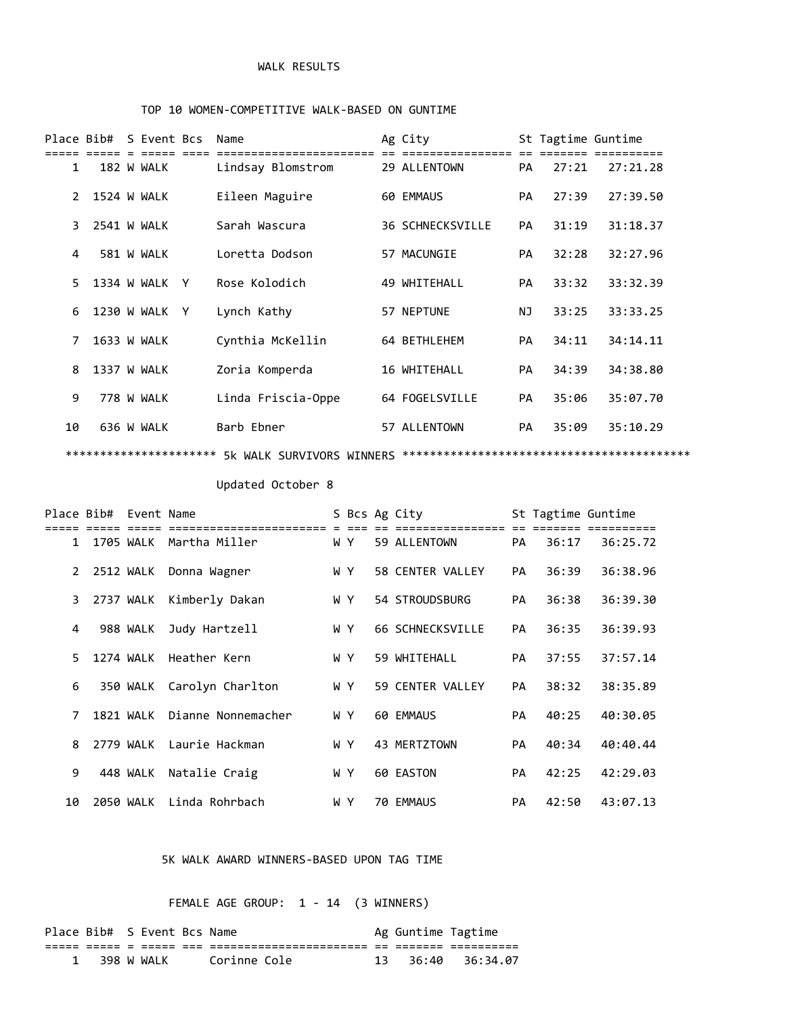### WALK RESULTS

#### TOP 10 WOMEN-COMPETITIVE WALK-BASED ON GUNTIME

|                |  | Place Bib# S Event Bcs | Name                      | Ag City                 |           | St Tagtime Guntime |          |
|----------------|--|------------------------|---------------------------|-------------------------|-----------|--------------------|----------|
| 1              |  | 182 W WALK             | Lindsay Blomstrom         | 29 ALLENTOWN            | PA        | 27:21              | 27:21.28 |
| $\overline{2}$ |  | 1524 W WALK            | Eileen Maguire            | 60 EMMAUS               | PA        | 27:39              | 27:39.50 |
| 3              |  | 2541 W WALK            | Sarah Wascura             | <b>36 SCHNECKSVILLE</b> | PA        | 31:19              | 31:18.37 |
| 4              |  | 581 W WALK             | Loretta Dodson            | 57 MACUNGIE             | PA        | 32:28              | 32:27.96 |
| 5              |  | 1334 W WALK Y          | Rose Kolodich             | 49 WHITEHALL            | <b>PA</b> | 33:32              | 33:32.39 |
| 6              |  | 1230 W WALK Y          | Lynch Kathy               | 57 NEPTUNE              | <b>NJ</b> | 33:25              | 33:33.25 |
| 7              |  | 1633 W WALK            | Cynthia McKellin          | 64 BETHLEHEM            | PA        | 34:11              | 34:14.11 |
| 8              |  | 1337 W WALK            | Zoria Komperda            | 16 WHITEHALL            | PA        | 34:39              | 34:38.80 |
| 9              |  | 778 W WALK             | Linda Friscia-Oppe        | 64 FOGELSVILLE          | PA        | 35:06              | 35:07.70 |
| 10             |  | 636 W WALK             | Barb Ebner                | 57 ALLENTOWN            | PA        | 35:09              | 35:10.29 |
|                |  | ********************** | 5k WALK SURVIVORS WINNERS |                         |           |                    |          |

# Updated October 8

|                | Place Bib# Event Name |           |                              |     | S Bcs Ag City    |           | St Tagtime Guntime |          |
|----------------|-----------------------|-----------|------------------------------|-----|------------------|-----------|--------------------|----------|
|                |                       |           |                              |     |                  |           |                    |          |
| $\mathbf{1}$   |                       |           | 1705 WALK Martha Miller      | WY. | 59 ALLENTOWN     | <b>PA</b> | 36:17              | 36:25.72 |
| $2^{\circ}$    |                       |           | 2512 WALK Donna Wagner       | WY. | 58 CENTER VALLEY | <b>PA</b> | 36:39              | 36:38.96 |
| 3              |                       |           | 2737 WALK Kimberly Dakan     | WY. | 54 STROUDSBURG   | PA        | 36:38              | 36:39.30 |
| 4              |                       | 988 WALK  | Judy Hartzell                | WY. | 66 SCHNECKSVILLE | PA        | 36:35              | 36:39.93 |
| 5.             |                       |           | 1274 WALK Heather Kern       | WY. | 59 WHITEHALL     | <b>PA</b> | 37:55              | 37:57.14 |
| 6              |                       |           | 350 WALK Carolyn Charlton    | WY. | 59 CENTER VALLEY | <b>PA</b> | 38:32              | 38:35.89 |
| $\overline{7}$ |                       |           | 1821 WALK Dianne Nonnemacher | WY. | 60 EMMAUS        | <b>PA</b> | 40:25              | 40:30.05 |
| 8              |                       | 2779 WALK | Laurie Hackman               | W Y | 43 MERTZTOWN     | <b>PA</b> | 40:34              | 40:40.44 |
| 9              |                       | 448 WALK  | Natalie Craig                | WY. | 60 EASTON        | <b>PA</b> | 42:25              | 42:29.03 |
| 10             |                       | 2050 WALK | Linda Rohrbach               | W Y | 70 EMMAUS        | PA        | 42:50              | 43:07.13 |

### 5K WALK AWARD WINNERS-BASED UPON TAG TIME

FEMALE AGE GROUP: 1 - 14 (3 WINNERS)

| Place Bib# S Event Bcs Name |  |            |              |    | Ag Guntime Tagtime |            |
|-----------------------------|--|------------|--------------|----|--------------------|------------|
|                             |  |            |              | __ | _____              | __________ |
|                             |  | 398 W WALK | Corinne Cole |    | 36:40              | 36:34.07   |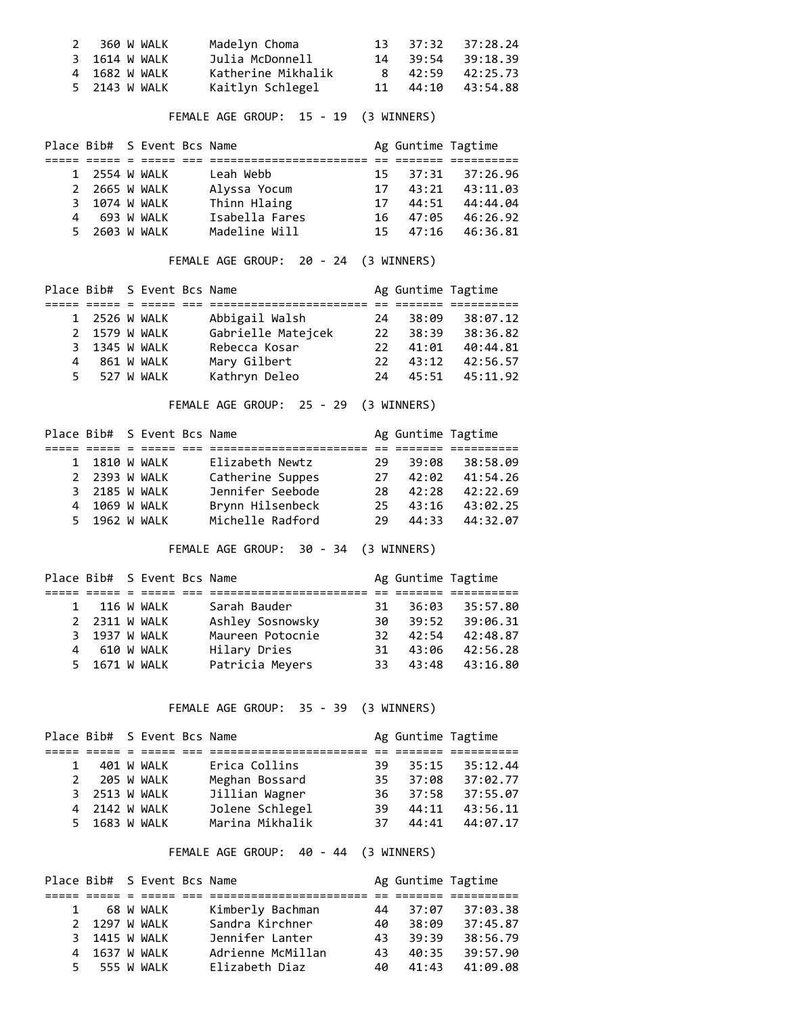| 2 360 W WALK  | Madelyn Choma      |  | 13 37:32 37:28.24 |
|---------------|--------------------|--|-------------------|
| 3 1614 W WALK | Julia McDonnell    |  | 14 39:54 39:18.39 |
| 4 1682 W WALK | Katherine Mikhalik |  | 8 42:59 42:25.73  |
| 5 2143 W WALK | Kaitlyn Schlegel   |  | 11 44:10 43:54.88 |

FEMALE AGE GROUP: 15 - 19 (3 WINNERS)

|               | Place Bib# S Event Bcs Name |                |     | Ag Guntime Tagtime |                   |
|---------------|-----------------------------|----------------|-----|--------------------|-------------------|
|               |                             |                |     |                    |                   |
| 1 2554 W WALK |                             | Leah Webb      |     |                    | 15 37:31 37:26.96 |
| 2 2665 W WALK |                             | Alyssa Yocum   | 17  | 43:21              | 43:11.03          |
| 3 1074 W WALK |                             | Thinn Hlaing   | 17  | 44:51              | 44:44.04          |
| 4 693 W WALK  |                             | Isabella Fares |     | 16 47:05           | 46:26.92          |
| 5 2603 W WALK |                             | Madeline Will  | 15. | 47:16              | 46:36.81          |

FEMALE AGE GROUP: 20 - 24 (3 WINNERS)

|   |               | Place Bib# S Event Bcs Name |                    |     | Ag Guntime Tagtime |          |
|---|---------------|-----------------------------|--------------------|-----|--------------------|----------|
|   |               |                             |                    |     |                    |          |
|   | 1 2526 W WALK |                             | Abbigail Walsh     | 24  | 38:09              | 38:07.12 |
|   | 2 1579 W WALK |                             | Gabrielle Matejcek | 22  | 38:39              | 38:36.82 |
|   | 3 1345 W WALK |                             | Rebecca Kosar      | 22. | 41:01              | 40:44.81 |
| 4 |               | 861 W WALK                  | Mary Gilbert       | 22  | 43:12              | 42:56.57 |
|   | 5 527 W WALK  |                             | Kathryn Deleo      | 24  | 45:51              | 45:11.92 |

FEMALE AGE GROUP: 25 - 29 (3 WINNERS)

|               | Place Bib# S Event Bcs Name |                  |     | Ag Guntime Tagtime |          |
|---------------|-----------------------------|------------------|-----|--------------------|----------|
|               |                             |                  |     |                    |          |
| 1 1810 W WALK |                             | Elizabeth Newtz  | 29  | 39:08              | 38:58.09 |
| 2 2393 W WALK |                             | Catherine Suppes | 27  | 42:02              | 41:54.26 |
| 3 2185 W WALK |                             | Jennifer Seebode | 28. | 42:28              | 42:22.69 |
| 4 1069 W WALK |                             | Brynn Hilsenbeck | 25  | 43:16              | 43:02.25 |
| 5 1962 W WALK |                             | Michelle Radford | 29  | 44:33              | 44:32.07 |

FEMALE AGE GROUP: 30 - 34 (3 WINNERS)

|               | Place Bib# S Event Bcs Name |                  |     | Ag Guntime Tagtime |          |
|---------------|-----------------------------|------------------|-----|--------------------|----------|
|               |                             |                  |     |                    |          |
| 1 116 W WALK  |                             | Sarah Bauder     | 31. | 36:03              | 35:57.80 |
| 2 2311 W WALK |                             | Ashley Sosnowsky | 30. | 39:52              | 39:06.31 |
| 3 1937 W WALK |                             | Maureen Potocnie | 32. | 42:54              | 42:48.87 |
| 4 610 W WALK  |                             | Hilary Dries     | 31. | 43:06              | 42:56.28 |
| 5 1671 W WALK |                             | Patricia Meyers  |     | 33 43:48           | 43:16.80 |

# FEMALE AGE GROUP: 35 - 39 (3 WINNERS)

|              |               | Place Bib# S Event Bcs Name |                 |     | Ag Guntime Tagtime |          |
|--------------|---------------|-----------------------------|-----------------|-----|--------------------|----------|
|              |               |                             |                 |     |                    |          |
| $\mathbf{1}$ |               | 401 W WALK                  | Erica Collins   | 39. | 35:15              | 35:12.44 |
| 2            |               | 205 W WALK                  | Meghan Bossard  | 35. | 37:08              | 37:02.77 |
|              | 3 2513 W WALK |                             | Jillian Wagner  | 36. | 37:58              | 37:55.07 |
|              | 4 2142 W WALK |                             | Jolene Schlegel | 39  | 44:11              | 43:56.11 |
|              | 5 1683 W WALK |                             | Marina Mikhalik | 37  | 44:41              | 44:07.17 |

FEMALE AGE GROUP: 40 - 44 (3 WINNERS)

|              |               | Place Bib# S Event Bcs Name |                   |     | Ag Guntime Tagtime |          |
|--------------|---------------|-----------------------------|-------------------|-----|--------------------|----------|
|              |               |                             |                   |     |                    |          |
| $\mathbf{1}$ |               | 68 W WALK                   | Kimberly Bachman  | 44  | 37:07              | 37:03.38 |
|              | 2 1297 W WALK |                             | Sandra Kirchner   | 40  | 38:09              | 37:45.87 |
|              | 3 1415 W WALK |                             | Jennifer Lanter   | 43. | 39:39              | 38:56.79 |
|              | 4 1637 W WALK |                             | Adrienne McMillan | 43  | 40:35              | 39:57.90 |
|              | 5 555 W WALK  |                             | Elizabeth Diaz    | 40  | 41:43              | 41:09.08 |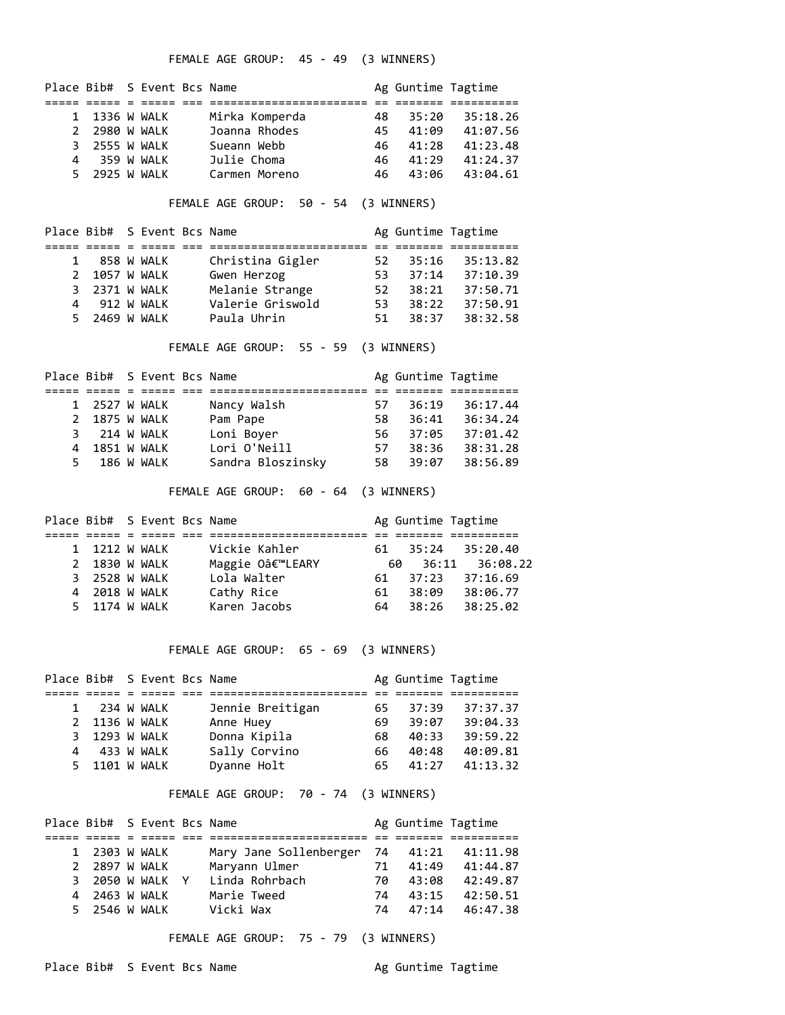FEMALE AGE GROUP: 45 - 49 (3 WINNERS)

|   |               | Place Bib# S Event Bcs Name |                |     | Ag Guntime Tagtime |          |
|---|---------------|-----------------------------|----------------|-----|--------------------|----------|
|   |               |                             |                |     |                    |          |
|   | 1 1336 W WALK |                             | Mirka Komperda | 48. | 35:20              | 35:18.26 |
|   | 2 2980 W WALK |                             | Joanna Rhodes  | 45. | 41:09              | 41:07.56 |
|   | 3 2555 W WALK |                             | Sueann Webb    | 46. | 41:28              | 41:23.48 |
| 4 |               | 359 W WALK                  | Julie Choma    | 46. | 41:29              | 41:24.37 |
|   | 5 2925 W WALK |                             | Carmen Moreno  | 46. | 43:06              | 43:04.61 |

FEMALE AGE GROUP: 50 - 54 (3 WINNERS)

|              |               | Place Bib# S Event Bcs Name |                  |     | Ag Guntime Tagtime |          |
|--------------|---------------|-----------------------------|------------------|-----|--------------------|----------|
|              |               |                             |                  |     |                    |          |
| $\mathbf{1}$ |               | 858 W WALK                  | Christina Gigler | 52. | 35:16              | 35:13.82 |
|              | 2 1057 W WALK |                             | Gwen Herzog      | 53. | 37:14              | 37:10.39 |
|              | 3 2371 W WALK |                             | Melanie Strange  | 52  | 38:21              | 37:50.71 |
| 4            |               | 912 W WALK                  | Valerie Griswold | 53. | 38:22              | 37:50.91 |
|              | 5 2469 W WALK |                             | Paula Uhrin      | 51. | 38:37              | 38:32.58 |

FEMALE AGE GROUP: 55 - 59 (3 WINNERS)

|    |               | Place Bib# S Event Bcs Name |                   |     | Ag Guntime Tagtime |          |
|----|---------------|-----------------------------|-------------------|-----|--------------------|----------|
|    |               |                             |                   |     |                    |          |
|    | 1 2527 W WALK |                             | Nancy Walsh       | 57. | 36:19              | 36:17.44 |
|    | 2 1875 W WALK |                             | Pam Pape          | 58. | 36:41              | 36:34.24 |
|    | 3 214 W WALK  |                             | Loni Boyer        | 56. | 37:05              | 37:01.42 |
|    | 4 1851 W WALK |                             | Lori O'Neill      | 57  | 38:36              | 38:31.28 |
| 5. |               | 186 W WALK                  | Sandra Bloszinsky | 58  | 39:07              | 38:56.89 |

FEMALE AGE GROUP: 60 - 64 (3 WINNERS)

|               | Place Bib# S Event Bcs Name |                |     | Ag Guntime Tagtime |                    |
|---------------|-----------------------------|----------------|-----|--------------------|--------------------|
|               |                             |                |     |                    |                    |
| 1 1212 W WALK |                             | Vickie Kahler  | 61  |                    | $35:24$ $35:20.40$ |
| 2 1830 W WALK |                             | Maggie O'LEARY | -60 |                    | 36:11 36:08.22     |
| 3 2528 W WALK |                             | Lola Walter    | 61  | 37:23              | 37:16.69           |
| 4 2018 W WALK |                             | Cathy Rice     | 61  | 38:09              | 38:06.77           |
| 5 1174 W WALK |                             | Karen Jacobs   | 64  | 38:26              | 38:25.02           |

FEMALE AGE GROUP: 65 - 69 (3 WINNERS)

|               | Place Bib# S Event Bcs Name |                  |     | Ag Guntime Tagtime |          |
|---------------|-----------------------------|------------------|-----|--------------------|----------|
|               |                             |                  |     |                    |          |
| 1 234 W WALK  |                             | Jennie Breitigan | 65. | 37:39              | 37:37.37 |
| 2 1136 W WALK |                             | Anne Huey        | 69  | 39:07              | 39:04.33 |
| 3 1293 W WALK |                             | Donna Kipila     | 68. | 40:33              | 39:59.22 |
| 4 433 W WALK  |                             | Sally Corvino    | 66. | 40:48              | 40:09.81 |
| 5 1101 W WALK |                             | Dyanne Holt      | 65. | 41:27              | 41:13.32 |

FEMALE AGE GROUP: 70 - 74 (3 WINNERS)

|               | Place Bib# S Event Bcs Name |                                 |     | Ag Guntime Tagtime |          |
|---------------|-----------------------------|---------------------------------|-----|--------------------|----------|
|               |                             |                                 |     |                    |          |
| 1 2303 W WALK |                             | Mary Jane Sollenberger 74 41:21 |     |                    | 41:11.98 |
| 2 2897 W WALK |                             | Maryann Ulmer                   | 71  | 41:49              | 41:44.87 |
|               | 3 2050 W WALK Y             | Linda Rohrbach                  | 70. | 43:08              | 42:49.87 |
| 4 2463 W WALK |                             | Marie Tweed                     | 74  | 43:15              | 42:50.51 |
| 5 2546 W WALK |                             | Vicki Wax                       | 74  | 47:14              | 46:47.38 |

FEMALE AGE GROUP: 75 - 79 (3 WINNERS)

Place Bib# S Event Bcs Name Ag Guntime Tagtime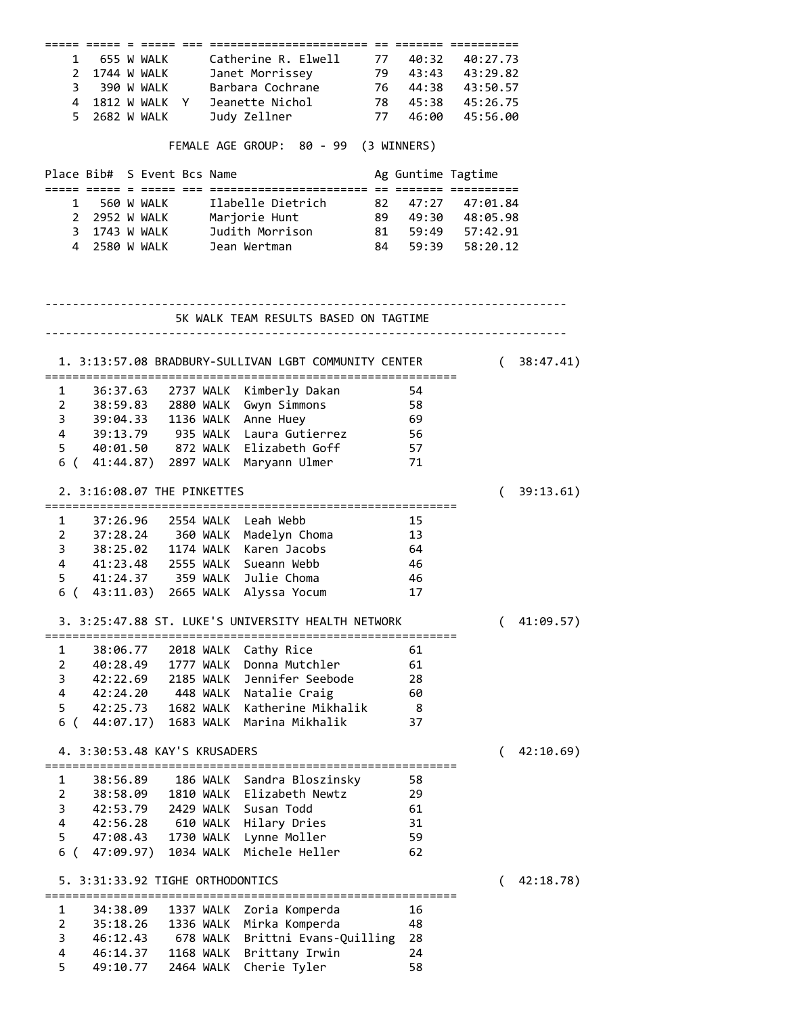|                                       | :==== ===== = ===== ===          |  |  |  |           |                                                       |  |                    |                   |            |
|---------------------------------------|----------------------------------|--|--|--|-----------|-------------------------------------------------------|--|--------------------|-------------------|------------|
|                                       |                                  |  |  |  |           | 1 655 W WALK Catherine R. Elwell 77 40:32 40:27.73    |  |                    |                   |            |
|                                       |                                  |  |  |  |           | 2 1744 W WALK Janet Morrissey 79 43:43 43:29.82       |  |                    |                   |            |
|                                       |                                  |  |  |  |           | 3 390 W WALK Barbara Cochrane 76 44:38 43:50.57       |  |                    |                   |            |
|                                       |                                  |  |  |  |           | 4 1812 W WALK Y Jeanette Nichol 78 45:38 45:26.75     |  |                    |                   |            |
|                                       |                                  |  |  |  |           | 5 2682 W WALK Judy Zellner 77 46:00 45:56.00          |  |                    |                   |            |
|                                       |                                  |  |  |  |           |                                                       |  |                    |                   |            |
| FEMALE AGE GROUP: 80 - 99 (3 WINNERS) |                                  |  |  |  |           |                                                       |  |                    |                   |            |
|                                       | Place Bib# S Event Bcs Name      |  |  |  |           |                                                       |  | Ag Guntime Tagtime |                   |            |
|                                       |                                  |  |  |  |           | 1 560 W WALK Ilabelle Dietrich                        |  |                    | 82 47:27 47:01.84 |            |
|                                       |                                  |  |  |  |           | 2 2952 W WALK Marjorie Hunt 89 49:30 48:05.98         |  |                    |                   |            |
|                                       |                                  |  |  |  |           | 3 1743 W WALK Judith Morrison 81 59:49 57:42.91       |  |                    |                   |            |
|                                       |                                  |  |  |  |           | 4 2580 W WALK Jean Wertman                            |  |                    | 84 59:39 58:20.12 |            |
|                                       |                                  |  |  |  |           |                                                       |  |                    |                   |            |
|                                       |                                  |  |  |  |           | 5K WALK TEAM RESULTS BASED ON TAGTIME                 |  |                    |                   |            |
|                                       |                                  |  |  |  |           |                                                       |  |                    |                   |            |
|                                       |                                  |  |  |  |           | 1. 3:13:57.08 BRADBURY-SULLIVAN LGBT COMMUNITY CENTER |  |                    |                   | (38:47.41) |
|                                       |                                  |  |  |  |           | 1 36:37.63 2737 WALK Kimberly Dakan                   |  | 54                 |                   |            |
|                                       |                                  |  |  |  |           | 2 38:59.83 2880 WALK Gwyn Simmons 58                  |  |                    |                   |            |
|                                       |                                  |  |  |  |           | 3 39:04.33 1136 WALK Anne Huey                        |  |                    |                   |            |
|                                       |                                  |  |  |  |           |                                                       |  | 69                 |                   |            |
|                                       |                                  |  |  |  |           | 4 39:13.79 935 WALK Laura Gutierrez 56                |  |                    |                   |            |
|                                       |                                  |  |  |  |           | 5 40:01.50 872 WALK Elizabeth Goff 57                 |  |                    |                   |            |
|                                       |                                  |  |  |  |           | 6 ( 41:44.87) 2897 WALK Maryann Ulmer                 |  | 71                 |                   |            |
|                                       | 2. 3:16:08.07 THE PINKETTES      |  |  |  |           |                                                       |  |                    | (                 | 39:13.61)  |
|                                       |                                  |  |  |  |           | 1 37:26.96 2554 WALK Leah Webb                        |  | - 15               |                   |            |
|                                       | 2 37:28.24 360 WALK              |  |  |  |           | Madelyn Choma 13                                      |  |                    |                   |            |
|                                       |                                  |  |  |  |           | 3 38:25.02 1174 WALK Karen Jacobs                     |  | 64                 |                   |            |
|                                       |                                  |  |  |  |           | 4 41:23.48 2555 WALK Sueann Webb                      |  | 46                 |                   |            |
|                                       |                                  |  |  |  |           |                                                       |  | - 46               |                   |            |
|                                       |                                  |  |  |  |           | 5 41:24.37 359 WALK Julie Choma                       |  | 17                 |                   |            |
| 6 (                                   |                                  |  |  |  |           | 43:11.03) 2665 WALK Alyssa Yocum                      |  |                    |                   |            |
|                                       |                                  |  |  |  |           | 3. 3:25:47.88 ST. LUKE'S UNIVERSITY HEALTH NETWORK    |  |                    | $\left($          | 41:09.57)  |
| 1                                     | 38:06.77                         |  |  |  | 2018 WALK | Cathy Rice                                            |  | 61                 |                   |            |
| 2                                     | 40:28.49                         |  |  |  | 1777 WALK | Donna Mutchler                                        |  | 61                 |                   |            |
| 3                                     | 42:22.69                         |  |  |  | 2185 WALK | Jennifer Seebode                                      |  | 28                 |                   |            |
| $\overline{4}$                        | 42:24.20                         |  |  |  | 448 WALK  | Natalie Craig                                         |  | 60                 |                   |            |
| 5                                     | 42:25.73                         |  |  |  | 1682 WALK | Katherine Mikhalik                                    |  | -8                 |                   |            |
| 6 (                                   | 44:07.17)                        |  |  |  | 1683 WALK | Marina Mikhalik                                       |  | 37                 |                   |            |
|                                       | 4. 3:30:53.48 KAY'S KRUSADERS    |  |  |  |           |                                                       |  |                    | (                 | 42:10.69)  |
|                                       |                                  |  |  |  |           |                                                       |  |                    |                   |            |
| 1                                     | 38:56.89                         |  |  |  | 186 WALK  | Sandra Bloszinsky                                     |  | 58                 |                   |            |
| $\overline{2}$                        | 38:58.09                         |  |  |  | 1810 WALK | Elizabeth Newtz                                       |  | 29                 |                   |            |
| 3                                     | 42:53.79                         |  |  |  | 2429 WALK | Susan Todd                                            |  | 61                 |                   |            |
| $\overline{\mathbf{4}}$               | 42:56.28                         |  |  |  | 610 WALK  | Hilary Dries                                          |  | 31                 |                   |            |
| 5                                     | 47:08.43                         |  |  |  | 1730 WALK | Lynne Moller                                          |  | 59                 |                   |            |
| 6 (                                   | 47:09.97)                        |  |  |  | 1034 WALK | Michele Heller                                        |  | 62                 |                   |            |
|                                       | 5. 3:31:33.92 TIGHE ORTHODONTICS |  |  |  |           |                                                       |  |                    | €                 | 42:18.78)  |
|                                       |                                  |  |  |  |           | ==============================                        |  |                    |                   |            |
| 1                                     | 34:38.09                         |  |  |  | 1337 WALK | Zoria Komperda                                        |  | 16                 |                   |            |
| $\overline{2}$                        | 35:18.26                         |  |  |  | 1336 WALK | Mirka Komperda                                        |  | 48                 |                   |            |
| 3                                     | 46:12.43                         |  |  |  | 678 WALK  | Brittni Evans-Quilling                                |  | 28                 |                   |            |
| 4                                     | 46:14.37                         |  |  |  | 1168 WALK | Brittany Irwin                                        |  | 24                 |                   |            |
| 5                                     | 49:10.77                         |  |  |  | 2464 WALK | Cherie Tyler                                          |  | 58                 |                   |            |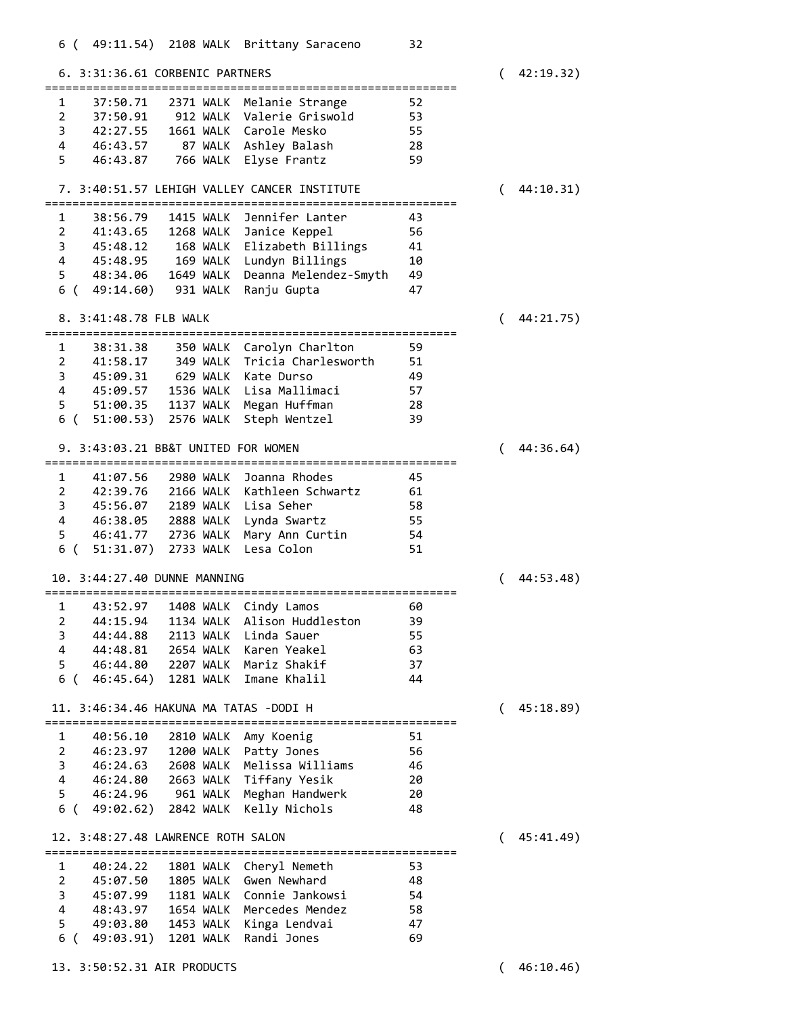| 6. 3:31:36.61 CORBENIC PARTNERS                               | 42:19.32)      |
|---------------------------------------------------------------|----------------|
| Melanie Strange<br>52<br>1<br>37:50.71<br>2371 WALK           |                |
| 2<br>37:50.91<br>Valerie Griswold<br>912 WALK<br>53           |                |
| 3<br>42:27.55<br><b>1661 WALK</b><br>Carole Mesko<br>55       |                |
| 4<br>Ashley Balash<br>46:43.57<br>87 WALK<br>28               |                |
| 5<br>Elyse Frantz<br>46:43.87<br>766 WALK<br>59               |                |
|                                                               |                |
| 7. 3:40:51.57 LEHIGH VALLEY CANCER INSTITUTE                  | 44:10.31)      |
| Jennifer Lanter<br>1<br>38:56.79<br>1415 WALK<br>43           |                |
| 2<br>41:43.65<br><b>1268 WALK</b><br>56<br>Janice Keppel      |                |
| 3<br>45:48.12<br>168 WALK<br>Elizabeth Billings<br>41         |                |
| 4<br>169 WALK<br>Lundyn Billings<br>45:48.95<br>10            |                |
| 5<br>48:34.06<br>1649 WALK<br>Deanna Melendez-Smyth<br>49     |                |
| 6 (<br>49:14.60)<br>47<br>931 WALK<br>Ranju Gupta             |                |
| 8. 3:41:48.78 FLB WALK<br>.=====================              | 44:21.75)      |
| Carolyn Charlton<br>59<br>1<br>38:31.38<br>350 WALK           |                |
| 2<br>41:58.17<br>349 WALK<br>Tricia Charlesworth<br>51        |                |
| 3<br>45:09.31<br>629 WALK<br>Kate Durso<br>49                 |                |
| 4<br>45:09.57<br>1536 WALK<br>Lisa Mallimaci<br>57            |                |
| 5<br>Megan Huffman<br>51:00.35<br>1137 WALK<br>28             |                |
| 6 (<br>51:00.53)<br>2576 WALK<br>Steph Wentzel<br>39          |                |
| 9. 3:43:03.21 BB&T UNITED FOR WOMEN                           | 44:36.64)      |
| ==================================                            |                |
| 41:07.56<br>2980 WALK<br>Joanna Rhodes<br>1<br>45             |                |
| 2<br>42:39.76<br><b>2166 WALK</b><br>Kathleen Schwartz<br>61  |                |
| 3<br>45:56.07<br><b>2189 WALK</b><br>Lisa Seher<br>58         |                |
| 4<br>Lynda Swartz<br>46:38.05<br>2888 WALK<br>55              |                |
| 5<br>2736 WALK<br>Mary Ann Curtin<br>46:41.77<br>54           |                |
| 6 (<br>51:31.07)<br>2733 WALK<br>Lesa Colon<br>51             |                |
| 10. 3:44:27.40 DUNNE MANNING                                  | 44:53.48)      |
| 1<br>43:52.97<br>1408 WALK<br>Cindy Lamos<br>60               |                |
| 2<br>44:15.94<br>1134 WALK<br>Alison Huddleston<br>39         |                |
| 2113 WALK<br>3<br>44:44.88<br>Linda Sauer<br>55               |                |
| 4<br>2654 WALK<br>63<br>44:48.81<br>Karen Yeakel              |                |
| 5<br>37<br>46:44.80<br>2207 WALK<br>Mariz Shakif              |                |
| 6 (<br>46:45.64)<br>1281 WALK<br>Imane Khalil<br>44           |                |
| 11, 3:46:34.46 HAKUNA MA TATAS -DODI H                        | 45:18.89)<br>( |
| 1<br>40:56.10<br>2810 WALK<br>Amy Koenig<br>51                |                |
| 2<br>46:23.97<br>Patty Jones<br>56<br>1200 WALK               |                |
| 3<br>Melissa Williams<br>2608 WALK<br>46<br>46:24.63          |                |
| 4<br>20<br>2663 WALK<br>Tiffany Yesik<br>46:24.80             |                |
| 5<br>46:24.96<br>961 WALK<br>Meghan Handwerk<br>20            |                |
| 6 (<br>49:02.62)<br>Kelly Nichols<br>2842 WALK<br>48          |                |
| 12. 3:48:27.48 LAWRENCE ROTH SALON                            | 45:41.49)<br>( |
| ;============================                                 |                |
| 1801 WALK<br>Cheryl Nemeth<br>1<br>40:24.22<br>53             |                |
| $\overline{2}$<br>1805 WALK<br>Gwen Newhard<br>48<br>45:07.50 |                |
| 3<br>1181 WALK<br>Connie Jankowsi<br>54<br>45:07.99           |                |
| 4<br>Mercedes Mendez<br>1654 WALK<br>58<br>48:43.97           |                |
| 5<br>Kinga Lendvai<br>49:03.80<br>1453 WALK<br>47             |                |
| Randi Jones<br>6 (<br>49:03.91)<br>1201 WALK<br>69            |                |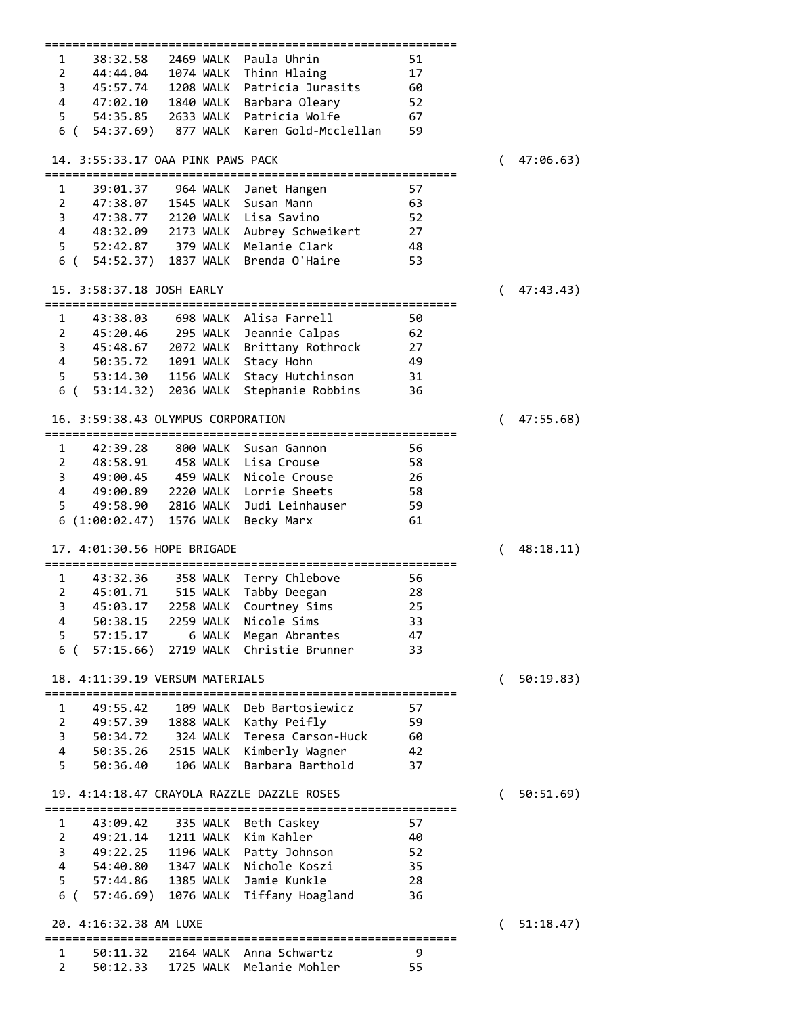|                                                                                                 | ================ |
|-------------------------------------------------------------------------------------------------|------------------|
| Paula Uhrin<br>1<br>38:32.58<br>2469 WALK                                                       | 51               |
| $\overline{2}$<br>44:44.04 1074 WALK<br>Thinn Hlaing                                            | 17               |
| Patricia Jurasits<br>3                                                                          |                  |
| 45:57.74 1208 WALK                                                                              | 60               |
| 4<br>47:02.10 1840 WALK<br>Barbara Oleary                                                       | 52               |
| 5<br>54:35.85 2633 WALK Patricia Wolfe                                                          | 67               |
| 6 (<br>54:37.69) 877 WALK<br>Karen Gold-Mcclellan                                               | 59               |
|                                                                                                 |                  |
| 14. 3:55:33.17 OAA PINK PAWS PACK                                                               | 47:06.63)        |
|                                                                                                 |                  |
|                                                                                                 |                  |
| 1<br>39:01.37<br>964 WALK<br>Janet Hangen                                                       | 57               |
| Susan Mann<br>2<br>47:38.07<br>1545 WALK                                                        | 63               |
| 3<br>2120 WALK Lisa Savino<br>47:38.77                                                          | 52               |
| 4<br>48:32.09<br>2173 WALK Aubrey Schweikert                                                    | 27               |
| 5<br>52:42.87 379 WALK Melanie Clark                                                            | 48               |
| Brenda O'Haire<br>6 ( 54:52.37)<br>1837 WALK                                                    | 53               |
|                                                                                                 |                  |
|                                                                                                 |                  |
| 15. 3:58:37.18 JOSH EARLY                                                                       | 47:43.43)        |
|                                                                                                 |                  |
| 698 WALK Alisa Farrell<br>1<br>43:38.03                                                         | 50               |
| $\overline{2}$<br>45:20.46 295 WALK<br>Jeannie Calpas                                           | 62               |
| 3                                                                                               | 27               |
| 45:48.67 2072 WALK Brittany Rothrock                                                            |                  |
| 4                                                                                               | 49               |
| 5                                                                                               | 31               |
| 6 (53:14.32) 2036 WALK<br>Stephanie Robbins                                                     | 36               |
|                                                                                                 |                  |
| 16. 3:59:38.43 OLYMPUS CORPORATION                                                              | 47:55.68)        |
|                                                                                                 |                  |
|                                                                                                 |                  |
| 42:39.28<br>1<br>800 WALK<br>Susan Gannon                                                       | 56               |
| $\overline{2}$<br>48:58.91<br>458 WALK Lisa Crouse                                              | 58               |
| 3<br>459 WALK Nicole Crouse<br>49:00.45                                                         | 26               |
| 4<br>49:00.89 2220 WALK Lorrie Sheets                                                           | 58               |
| 49:58.90 2816 WALK<br>5<br>Judi Leinhauser                                                      | 59               |
| 6 (1:00:02.47) 1576 WALK                                                                        | 61               |
| Becky Marx                                                                                      |                  |
|                                                                                                 |                  |
|                                                                                                 |                  |
| 17. 4:01:30.56 HOPE BRIGADE                                                                     | 48:18.11)        |
|                                                                                                 |                  |
| $\mathbf{1}$                                                                                    |                  |
| 43:32.36<br>358 WALK Terry Chlebove                                                             | 56               |
| $\overline{2}$<br>515 WALK Tabby Deegan<br>45:01.71                                             | 28               |
| 3<br>Courtney Sims<br>45:03.17<br>2258 WALK                                                     | 25               |
| 50:38.15<br><b>2259 WALK</b><br>Nicole Sims<br>4                                                | 33               |
| Megan Abrantes<br>5<br>57:15.17<br>6 WALK                                                       | 47               |
| 2719 WALK<br>Christie Brunner<br>6 (<br>57:15.66)                                               | 33               |
|                                                                                                 |                  |
|                                                                                                 |                  |
| 18. 4:11:39.19 VERSUM MATERIALS                                                                 | 50:19.83)<br>(   |
|                                                                                                 |                  |
| Deb Bartosiewicz<br>1<br>109 WALK<br>49:55.42                                                   | 57               |
| $\overline{2}$<br>1888 WALK<br>Kathy Peifly<br>49:57.39                                         | 59               |
| 324 WALK Teresa Carson-Huck<br>3<br>50:34.72                                                    | 60               |
|                                                                                                 |                  |
| 4<br>50:35.26 2515 WALK<br>Kimberly Wagner                                                      | 42               |
| 5<br>Barbara Barthold<br>50:36.40<br>106 WALK                                                   | 37               |
|                                                                                                 |                  |
| 19. 4:14:18.47 CRAYOLA RAZZLE DAZZLE ROSES                                                      | 50:51.69)        |
|                                                                                                 |                  |
| $\mathbf{1}$<br>43:09.42<br>335 WALK Beth Caskey                                                | 57               |
| $\overline{2}$                                                                                  | 40               |
| Kim Kahler<br>49:21.14<br>1211 WALK                                                             |                  |
| 49:22.25<br>3<br>1196 WALK<br>Patty Johnson                                                     | 52               |
| 4 54:40.80<br>Nichole Koszi<br>1347 WALK                                                        | 35               |
| Jamie Kunkle<br>5<br>57:44.86 1385 WALK                                                         | 28               |
| 6 ( 57:46.69) 1076 WALK Tiffany Hoagland                                                        | 36               |
|                                                                                                 |                  |
| 20. 4:16:32.38 AM LUXE                                                                          | (                |
|                                                                                                 | 51:18.47)        |
|                                                                                                 |                  |
| 1<br>50:11.32 2164 WALK Anna Schwartz<br>$\overline{2}$<br>1725 WALK Melanie Mohler<br>50:12.33 | 9<br>55          |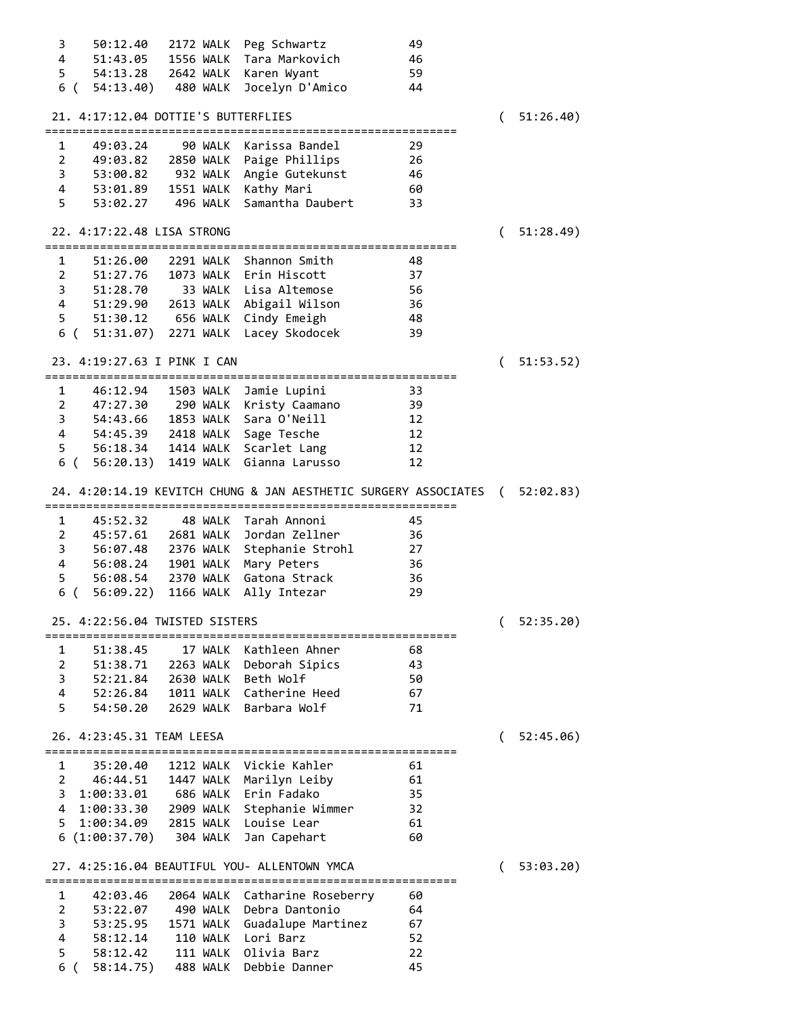| 50:12.40<br>3                         | 2172 WALK | Peg Schwartz                                                      | 49       |          |            |
|---------------------------------------|-----------|-------------------------------------------------------------------|----------|----------|------------|
| 4<br>51:43.05                         |           | 1556 WALK Tara Markovich                                          | 46       |          |            |
| 5 54:13.28 2642 WALK Karen Wyant      |           |                                                                   | 59       |          |            |
| 6 (54:13.40) 480 WALK                 |           | Jocelyn D'Amico                                                   | 44       |          |            |
|                                       |           |                                                                   |          |          |            |
| 21. 4:17:12.04 DOTTIE'S BUTTERFLIES   |           |                                                                   |          | $\left($ | 51:26.40)  |
|                                       |           |                                                                   |          |          |            |
| 1<br>49:03.24                         |           | 90 WALK Karissa Bandel                                            | 29       |          |            |
| 2 49:03.82 2850 WALK Paige Phillips   |           |                                                                   | 26       |          |            |
|                                       |           | 3 53:00.82 932 WALK Angie Gutekunst                               | 46       |          |            |
| 4 53:01.89 1551 WALK Kathy Mari       |           |                                                                   | 60       |          |            |
|                                       |           | 53:02.27 496 WALK Samantha Daubert                                |          |          |            |
| 5                                     |           |                                                                   | 33       |          |            |
| 22. 4:17:22.48 LISA STRONG            |           |                                                                   |          |          | (51:28.49) |
|                                       |           |                                                                   |          |          |            |
| 1                                     |           | 51:26.00 2291 WALK Shannon Smith                                  | 48       |          |            |
| 2 51:27.76 1073 WALK Erin Hiscott     |           |                                                                   | 37       |          |            |
| 3 51:28.70                            |           | 33 WALK Lisa Altemose                                             | 56       |          |            |
|                                       |           | 4 51:29.90 2613 WALK Abigail Wilson                               | 36       |          |            |
| 5 51:30.12 656 WALK Cindy Emeigh      |           |                                                                   | 48       |          |            |
|                                       |           | 6 ( 51:31.07) 2271 WALK Lacey Skodocek                            | 39       |          |            |
|                                       |           |                                                                   |          |          |            |
| 23. 4:19:27.63 I PINK I CAN           |           |                                                                   |          | (        | 51:53.52)  |
|                                       |           |                                                                   |          |          |            |
| $\mathbf{1}$                          |           | 46:12.94 1503 WALK Jamie Lupini                                   | 33       |          |            |
| 2 47:27.30 290 WALK Kristy Caamano    |           |                                                                   | 39       |          |            |
| 3 54:43.66 1853 WALK Sara O'Neill     |           |                                                                   | 12       |          |            |
| 4 54:45.39 2418 WALK Sage Tesche      |           |                                                                   | 12       |          |            |
| 5 56:18.34 1414 WALK Scarlet Lang     |           |                                                                   | 12       |          |            |
| 6 (56:20.13) 1419 WALK Gianna Larusso |           |                                                                   | 12       |          |            |
|                                       |           |                                                                   |          |          |            |
|                                       |           |                                                                   |          |          |            |
|                                       |           | 24. 4:20:14.19 KEVITCH CHUNG & JAN AESTHETIC SURGERY ASSOCIATES ( |          |          | 52:02.83)  |
| $\mathbf{1}$<br>45:52.32              |           | 48 WALK Tarah Annoni                                              | 45       |          |            |
|                                       |           |                                                                   |          |          |            |
| 2 45:57.61 2681 WALK Jordan Zellner   |           |                                                                   | 36       |          |            |
|                                       |           | 3 56:07.48 2376 WALK Stephanie Strohl                             | 27       |          |            |
| 4 56:08.24 1901 WALK Mary Peters      |           |                                                                   | 36       |          |            |
| 5 56:08.54 2370 WALK Gatona Strack    |           |                                                                   | 36       |          |            |
| 6 (                                   |           | 56:09.22) 1166 WALK Ally Intezar                                  | 29       |          |            |
| 25. 4:22:56.04 TWISTED SISTERS        |           |                                                                   |          |          | 52:35.20)  |
|                                       |           |                                                                   |          |          |            |
| 1<br>51:38.45                         | 17 WALK   | Kathleen Ahner                                                    | 68       |          |            |
| $\overline{2}$<br>51:38.71            | 2263 WALK | Deborah Sipics                                                    | 43       |          |            |
| 3<br>52:21.84                         | 2630 WALK | Beth Wolf                                                         | 50       |          |            |
| $\overline{4}$<br>52:26.84            |           | 1011 WALK Catherine Heed                                          | 67       |          |            |
| 5<br>54:50.20                         | 2629 WALK | Barbara Wolf                                                      | 71       |          |            |
|                                       |           |                                                                   |          |          |            |
| 26. 4:23:45.31 TEAM LEESA             |           |                                                                   |          | (        | 52:45.06)  |
|                                       |           |                                                                   |          |          |            |
| 1<br>35:20.40                         | 1212 WALK | Vickie Kahler                                                     | 61       |          |            |
| $\mathbf{2}$<br>46:44.51              | 1447 WALK | Marilyn Leiby                                                     | 61       |          |            |
| 3<br>1:00:33.01                       | 686 WALK  | Erin Fadako                                                       | 35       |          |            |
| 4 1:00:33.30                          | 2909 WALK | Stephanie Wimmer                                                  | 32       |          |            |
| 5<br>1:00:34.09                       |           | 2815 WALK Louise Lear                                             | 61       |          |            |
| 6(1:00:37.70)                         | 304 WALK  | Jan Capehart                                                      | 60       |          |            |
|                                       |           |                                                                   |          |          |            |
|                                       |           | 27. 4:25:16.04 BEAUTIFUL YOU- ALLENTOWN YMCA                      |          | €        | 53:03.20   |
| 1<br>42:03.46                         |           | 2064 WALK Catharine Roseberry                                     | 60       |          |            |
| $\overline{2}$<br>53:22.07            |           | 490 WALK Debra Dantonio                                           | 64       |          |            |
|                                       |           |                                                                   |          |          |            |
| 3<br>53:25.95                         | 1571 WALK | Guadalupe Martinez                                                | 67       |          |            |
| 4<br>58:12.14                         |           | 110 WALK Lori Barz                                                | 52       |          |            |
| 5<br>58:12.42<br>6 (<br>58:14.75)     |           | 111 WALK Olivia Barz<br>488 WALK Debbie Danner                    | 22<br>45 |          |            |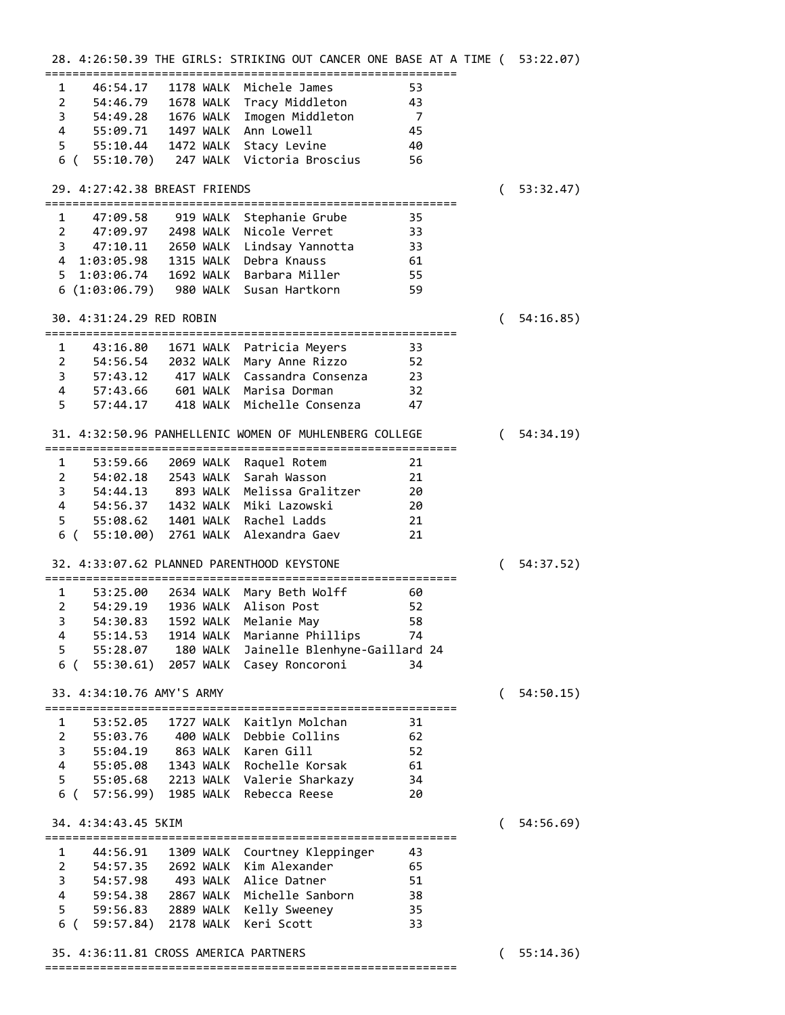|                                            |           | 28. 4:26:50.39 THE GIRLS: STRIKING OUT CANCER ONE BASE AT A TIME ( 53:22.07) |                |   |           |
|--------------------------------------------|-----------|------------------------------------------------------------------------------|----------------|---|-----------|
| 1                                          |           | 46:54.17 1178 WALK Michele James                                             | 53             |   |           |
| 2 54:46.79 1678 WALK Tracy Middleton       |           |                                                                              | 43             |   |           |
|                                            |           | 3 54:49.28 1676 WALK Imogen Middleton                                        | $\overline{7}$ |   |           |
| 4 55:09.71 1497 WALK Ann Lowell            |           |                                                                              | 45             |   |           |
| 5 55:10.44 1472 WALK Stacy Levine          |           |                                                                              | 40             |   |           |
|                                            |           | 6 ( 55:10.70) 247 WALK Victoria Broscius                                     | 56             |   |           |
| 29. 4:27:42.38 BREAST FRIENDS              |           |                                                                              |                | ( | 53:32.47) |
| 47:09.58 919 WALK<br>1                     |           | Stephanie Grube                                                              | 35             |   |           |
| 2 47:09.97 2498 WALK                       |           | Nicole Verret                                                                | 33             |   |           |
|                                            |           | 3 47:10.11 2650 WALK Lindsay Yannotta                                        | 33             |   |           |
| 4 1:03:05.98 1315 WALK Debra Knauss        |           |                                                                              | 61             |   |           |
| 5 1:03:06.74 1692 WALK Barbara Miller      |           |                                                                              | 55             |   |           |
| 6 (1:03:06.79) 980 WALK Susan Hartkorn     |           |                                                                              | 59             |   |           |
| 30. 4:31:24.29 RED ROBIN                   |           |                                                                              |                | ( | 54:16.85) |
| $\mathbf{1}$                               |           | 43:16.80 1671 WALK Patricia Meyers                                           | 33             |   |           |
| 2 54:56.54 2032 WALK                       |           | Mary Anne Rizzo                                                              | 52             |   |           |
| 3 57:43.12 417 WALK                        |           | Cassandra Consenza                                                           | 23             |   |           |
| 4 57:43.66 601 WALK Marisa Dorman          |           |                                                                              | 32             |   |           |
| 5<br>57:44.17                              |           | 418 WALK Michelle Consenza                                                   | 47             |   |           |
|                                            |           | 31. 4:32:50.96 PANHELLENIC WOMEN OF MUHLENBERG COLLEGE                       |                |   | 54:34.19) |
| 1<br>53:59.66                              | 2069 WALK | Raquel Rotem                                                                 | 21             |   |           |
| 2 54:02.18                                 | 2543 WALK | Sarah Wasson                                                                 | 21             |   |           |
|                                            |           | 3 54:44.13 893 WALK Melissa Gralitzer                                        | 20             |   |           |
| 4 54:56.37 1432 WALK Miki Lazowski         |           |                                                                              | 20             |   |           |
| 5 <sub>1</sub>                             |           | 55:08.62 1401 WALK Rachel Ladds                                              | 21             |   |           |
| 6 ( 55:10.00) 2761 WALK Alexandra Gaev     |           |                                                                              | 21             |   |           |
| 32. 4:33:07.62 PLANNED PARENTHOOD KEYSTONE |           |                                                                              |                | ( | 54:37.52) |
| $\mathbf{1}$<br>53:25.00                   |           | 2634 WALK Mary Beth Wolff                                                    | 60             |   |           |
| $\overline{2}$<br>54:29.19                 |           | 1936 WALK Alison Post                                                        | 52             |   |           |
| 3<br>54:30.83                              | 1592 WALK | Melanie May                                                                  | 58             |   |           |
| 4<br>55:14.53                              |           | 1914 WALK Marianne Phillips                                                  | 74             |   |           |
| 5<br>55:28.07                              |           | 180 WALK Jainelle Blenhyne-Gaillard 24                                       |                |   |           |
| 6 (55:30.61)                               | 2057 WALK | Casey Roncoroni                                                              | 34             |   |           |
| 33. 4:34:10.76 AMY'S ARMY                  |           |                                                                              |                | € | 54:50.15) |
| 1<br>53:52.05                              | 1727 WALK | Kaitlyn Molchan                                                              | 31             |   |           |
| $\overline{2}$<br>55:03.76                 |           | 400 WALK Debbie Collins                                                      | 62             |   |           |
| 3<br>55:04.19 863 WALK Karen Gill          |           |                                                                              | 52             |   |           |
| 4                                          |           | 55:05.08 1343 WALK Rochelle Korsak                                           | 61             |   |           |
| 5                                          |           | 55:05.68 2213 WALK Valerie Sharkazy                                          | 34             |   |           |
| 6 ( 57:56.99) 1985 WALK Rebecca Reese      |           |                                                                              | 20             |   |           |
| 34. 4:34:43.45 5KIM                        |           |                                                                              |                |   | 54:56.69) |
| 1<br>44:56.91                              | 1309 WALK | Courtney Kleppinger                                                          | 43             |   |           |
| $\overline{2}$<br>54:57.35                 |           | 2692 WALK Kim Alexander                                                      | 65             |   |           |
| 3<br>54:57.98                              |           | 493 WALK Alice Datner                                                        | 51             |   |           |
| 4                                          |           | 59:54.38 2867 WALK Michelle Sanborn                                          | 38             |   |           |
| 59:56.83 2889 WALK<br>5 <sub>1</sub>       |           | Kelly Sweeney                                                                | 35             |   |           |
| 6 (59:57.84) 2178 WALK                     |           | Keri Scott                                                                   | 33             |   |           |
| 35. 4:36:11.81 CROSS AMERICA PARTNERS      |           |                                                                              |                | € | 55:14.36) |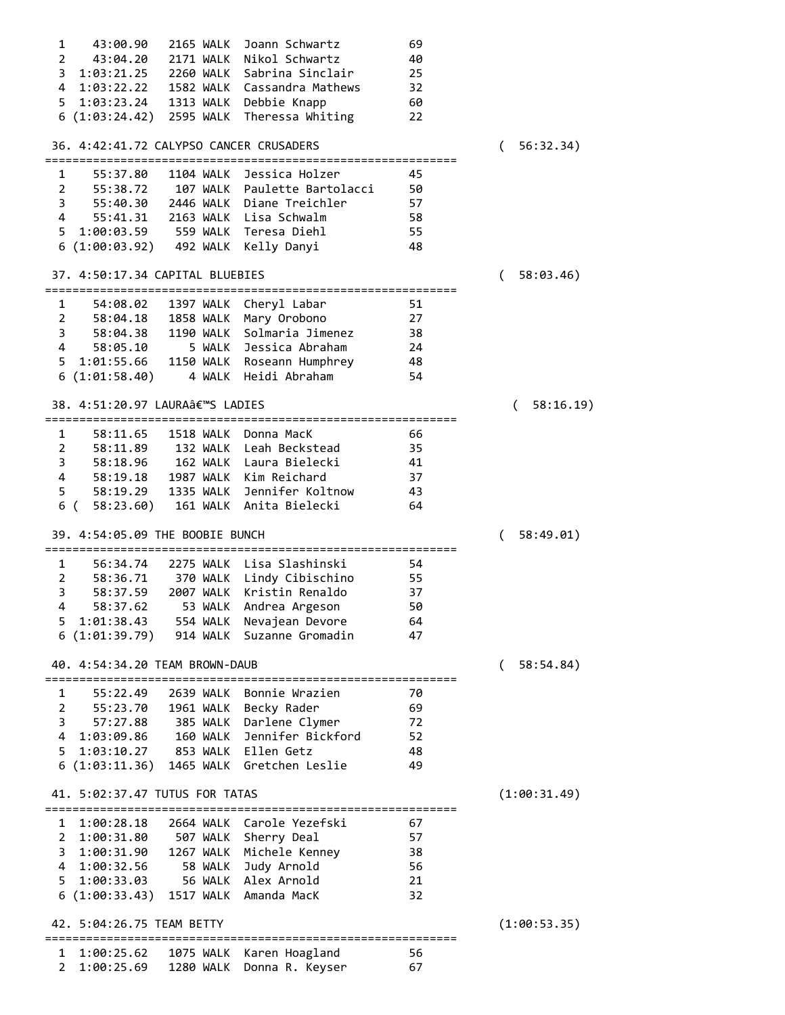| $\mathbf{1}$   | 43:00.90                                               | <b>2165 WALK</b> | Joann Schwartz                            | 69       |                       |
|----------------|--------------------------------------------------------|------------------|-------------------------------------------|----------|-----------------------|
| $\overline{2}$ | 43:04.20                                               | 2171 WALK        | Nikol Schwartz                            | 40       |                       |
| 3              | 1:03:21.25 2260 WALK                                   |                  | Sabrina Sinclair                          | 25       |                       |
|                |                                                        |                  | 4 1:03:22.22 1582 WALK Cassandra Mathews  | 32       |                       |
|                |                                                        |                  | 5 1:03:23.24 1313 WALK Debbie Knapp       | 60       |                       |
|                |                                                        |                  | 6 (1:03:24.42) 2595 WALK Theressa Whiting | 22       |                       |
|                |                                                        |                  |                                           |          |                       |
|                | 36. 4:42:41.72 CALYPSO CANCER CRUSADERS                |                  |                                           |          | 56:32.34)<br>(        |
| 1              | 55:37.80                                               | 1104 WALK        | Jessica Holzer                            | 45       |                       |
|                | $2^{\sim}$<br>55:38.72                                 |                  | 107 WALK Paulette Bartolacci              | 50       |                       |
| 3              | 55:40.30                                               |                  | 2446 WALK Diane Treichler                 | 57       |                       |
|                | $4 \quad$                                              |                  | 55:41.31 2163 WALK Lisa Schwalm           | 58       |                       |
|                |                                                        |                  | 5 1:00:03.59 559 WALK Teresa Diehl        | 55       |                       |
|                | 6(1:00:03.92)                                          |                  | 492 WALK Kelly Danyi                      | 48       |                       |
|                |                                                        |                  |                                           |          |                       |
|                | 37. 4:50:17.34 CAPITAL BLUEBIES                        |                  |                                           |          | 58:03.46)<br>$\left($ |
| $\mathbf{1}$   | 54:08.02                                               |                  | 1397 WALK Cheryl Labar                    | 51       |                       |
| $\overline{2}$ | 58:04.18                                               | 1858 WALK        | Mary Orobono                              | 27       |                       |
| 3              | 58:04.38                                               | 1190 WALK        | Solmaria Jimenez                          | 38       |                       |
|                | $4 \quad$<br>58:05.10                                  |                  | 5 WALK Jessica Abraham                    | 24       |                       |
| 5              | 1:01:55.66                                             |                  | 1150 WALK Roseann Humphrey                | 48       |                       |
|                | 6(1:01:58.40)                                          | 4 WALK           | Heidi Abraham                             | 54       |                       |
|                |                                                        |                  |                                           |          |                       |
|                | 38. 4:51:20.97 LAURA'S LADIES                          |                  |                                           |          | 58:16.19)<br>$\left($ |
| 1              | 58:11.65                                               | 1518 WALK        | Donna MacK                                | 66       |                       |
| $\overline{2}$ | 58:11.89                                               |                  | 132 WALK Leah Beckstead                   | 35       |                       |
| 3              | 58:18.96                                               |                  | 162 WALK Laura Bielecki                   | 41       |                       |
| 4              | 58:19.18                                               |                  | 1987 WALK Kim Reichard                    | 37       |                       |
| 5              |                                                        |                  | 1335 WALK Jennifer Koltnow                |          |                       |
|                | 58:19.29<br>58:23.60)                                  |                  | 161 WALK Anita Bielecki                   | 43<br>64 |                       |
|                | 6 (                                                    |                  |                                           |          |                       |
|                | 39. 4:54:05.09 THE BOOBIE BUNCH                        |                  |                                           |          | 58:49.01)<br>(        |
|                |                                                        |                  |                                           |          |                       |
| $\mathbf{1}$   | 56:34.74                                               |                  | 2275 WALK Lisa Slashinski                 | 54       |                       |
| $\overline{2}$ |                                                        |                  | 58:36.71 370 WALK Lindy Cibischino        | 55       |                       |
| 3              | 58:37.59                                               |                  | 2007 WALK Kristin Renaldo                 | 37       |                       |
| $\overline{4}$ | 58:37.62                                               | 53 WALK          | Andrea Argeson                            | 50       |                       |
| 5              | 1:01:38.43                                             | 554 WALK         | Nevajean Devore                           | 64       |                       |
| 6              | (1:01:39.79)                                           | 914 WALK         | Suzanne Gromadin                          | 47       |                       |
|                | 40. 4:54:34.20 TEAM BROWN-DAUB                         |                  |                                           |          | 58:54.84)             |
| 1              | 55:22.49                                               | 2639 WALK        | Bonnie Wrazien                            | 70       |                       |
| $\overline{2}$ | 55:23.70                                               | 1961 WALK        | Becky Rader                               | 69       |                       |
|                |                                                        |                  |                                           |          |                       |
| 3              | 57:27.88                                               | 385 WALK         | Darlene Clymer                            | 72       |                       |
| 4              | 1:03:09.86                                             | 160 WALK         | Jennifer Bickford                         | 52       |                       |
| 5              | 1:03:10.27                                             |                  | 853 WALK Ellen Getz                       | 48       |                       |
|                | 6(1:03:11.36)                                          | 1465 WALK        | Gretchen Leslie                           | 49       |                       |
|                | 41. 5:02:37.47 TUTUS FOR TATAS                         |                  |                                           |          | (1:00:31.49)          |
| $\mathbf{1}$   | 1:00:28.18                                             |                  | 2664 WALK Carole Yezefski                 | 67       |                       |
| 2              | 1:00:31.80                                             |                  | 507 WALK Sherry Deal                      | 57       |                       |
| 3              |                                                        |                  | Michele Kenney                            |          |                       |
|                | 1:00:31.90                                             | 1267 WALK        |                                           | 38       |                       |
| 4              | 1:00:32.56                                             | 58 WALK          | Judy Arnold                               | 56       |                       |
| 5              | 1:00:33.03                                             | 56 WALK          | Alex Arnold                               | 21       |                       |
|                | 6(1:00:33.43)                                          | 1517 WALK        | Amanda MacK                               | 32       |                       |
|                | 42. 5:04:26.75 TEAM BETTY<br>========================= |                  | ==============================            |          | (1:00:53.35)          |
| 1              | 1:00:25.62                                             | 1075 WALK        | Karen Hoagland                            | 56       |                       |
| $\overline{2}$ | 1:00:25.69                                             | 1280 WALK        | Donna R. Keyser                           | 67       |                       |
|                |                                                        |                  |                                           |          |                       |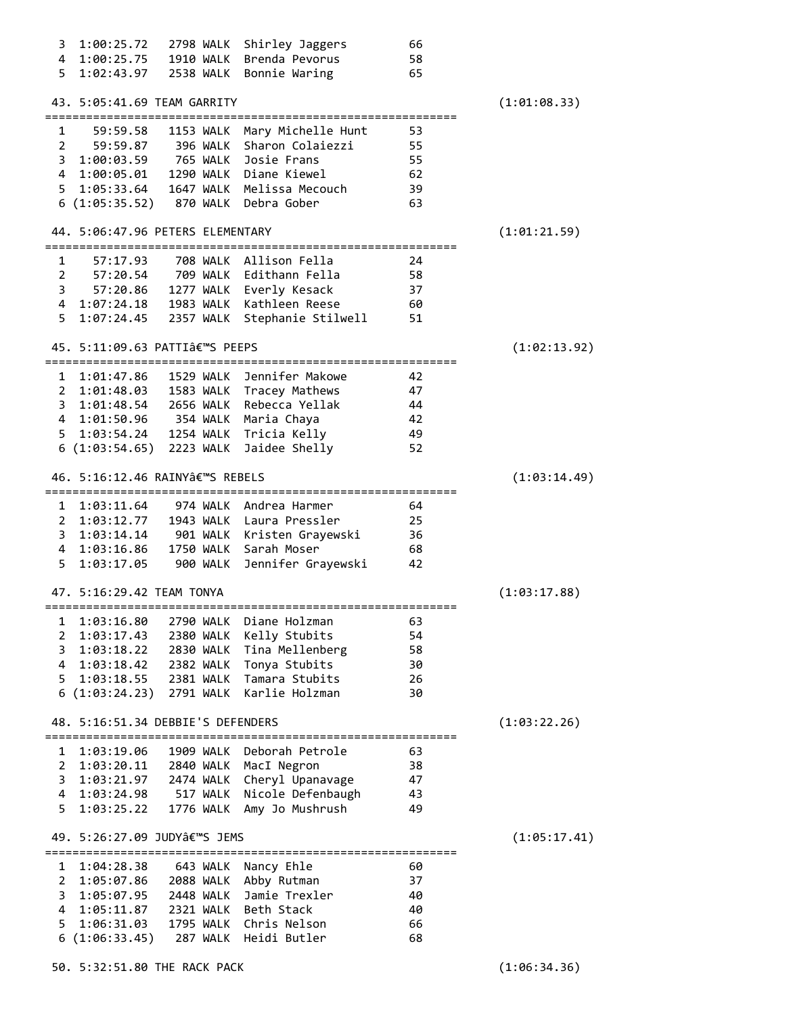|                | 1:00:25.72                        | 2798 WALK             | Shirley Jaggers                         | 66       |              |
|----------------|-----------------------------------|-----------------------|-----------------------------------------|----------|--------------|
|                | 4 1:00:25.75                      | 1910 WALK             | Brenda Pevorus                          | 58       |              |
| 5.             |                                   |                       | Bonnie Waring                           | 65       |              |
|                |                                   |                       |                                         |          |              |
|                | 43. 5:05:41.69 TEAM GARRITY       |                       |                                         |          | (1:01:08.33) |
|                |                                   |                       |                                         |          |              |
| $\mathbf{1}$   | 59:59.58                          |                       | 1153 WALK Mary Michelle Hunt            | 53       |              |
| $2^{\circ}$    | 59:59.87                          |                       | 396 WALK Sharon Colaiezzi               | 55       |              |
|                | 3 1:00:03.59 765 WALK Josie Frans |                       |                                         |          |              |
|                |                                   |                       |                                         | 55       |              |
|                |                                   |                       | 4 1:00:05.01 1290 WALK Diane Kiewel     | 62       |              |
|                |                                   |                       | 5 1:05:33.64 1647 WALK Melissa Mecouch  | 39       |              |
|                | 6 (1:05:35.52) 870 WALK           |                       | Debra Gober                             | 63       |              |
|                |                                   |                       |                                         |          |              |
|                | 44. 5:06:47.96 PETERS ELEMENTARY  |                       |                                         |          | (1:01:21.59) |
|                |                                   |                       |                                         |          |              |
| 1              | 57:17.93                          |                       | 708 WALK Allison Fella                  | 24       |              |
|                |                                   |                       | 2 57:20.54 709 WALK Edithann Fella      | 58       |              |
|                | $3^{\circ}$                       |                       | 57:20.86 1277 WALK Everly Kesack        | 37       |              |
|                |                                   |                       | 4 1:07:24.18 1983 WALK Kathleen Reese   | 60       |              |
| 5.             |                                   |                       | 2357 WALK Stephanie Stilwell            |          |              |
|                | 1:07:24.45                        |                       |                                         | 51       |              |
|                |                                   |                       |                                         |          |              |
|                | 45. 5:11:09.63 PATTI'S PEEPS      |                       |                                         |          | (1:02:13.92) |
|                |                                   |                       |                                         |          |              |
|                |                                   |                       | 1 1:01:47.86 1529 WALK Jennifer Makowe  | 42       |              |
|                |                                   |                       | 2 1:01:48.03 1583 WALK Tracey Mathews   | 47       |              |
|                |                                   |                       | 3 1:01:48.54 2656 WALK Rebecca Yellak   | 44       |              |
|                | 4 1:01:50.96 354 WALK Maria Chaya |                       |                                         | - 42     |              |
|                |                                   |                       | 5 1:03:54.24 1254 WALK Tricia Kelly     | - 49     |              |
|                | 6 (1:03:54.65) 2223 WALK          |                       | Jaidee Shelly                           | 52       |              |
|                |                                   |                       |                                         |          |              |
|                | 46. 5:16:12.46 RAINY'S REBELS     |                       |                                         |          | (1:03:14.49) |
|                |                                   |                       |                                         |          |              |
|                |                                   |                       | 1 1:03:11.64 974 WALK Andrea Harmer     | 64       |              |
|                |                                   |                       | 2 1:03:12.77 1943 WALK Laura Pressler   | 25       |              |
|                |                                   |                       |                                         |          |              |
|                |                                   |                       | 3 1:03:14.14 901 WALK Kristen Grayewski | 36       |              |
|                | 4 1:03:16.86                      |                       | 1750 WALK Sarah Moser                   | 68       |              |
| 5              | 1:03:17.05                        | 900 WALK              | Jennifer Grayewski                      | 42       |              |
|                |                                   |                       |                                         |          |              |
|                | 47. 5:16:29.42 TEAM TONYA         |                       |                                         |          | (1:03:17.88) |
|                |                                   |                       |                                         |          |              |
| 1              | 1:03:16.80                        | 2790 WALK             | Diane Holzman                           | 63       |              |
| 2              | 1:03:17.43                        |                       |                                         |          |              |
| 3              |                                   | 2380 WALK             | Kelly Stubits                           | 54       |              |
|                |                                   |                       |                                         |          |              |
|                | 1:03:18.22                        | 2830 WALK             | Tina Mellenberg                         | 58       |              |
|                | 4 1:03:18.42                      | 2382 WALK             | Tonya Stubits                           | 30       |              |
| 5              | 1:03:18.55                        | 2381 WALK             | Tamara Stubits                          | 26       |              |
|                | 6(1:03:24.23)                     | 2791 WALK             | Karlie Holzman                          | 30       |              |
|                |                                   |                       |                                         |          |              |
|                | 48. 5:16:51.34 DEBBIE'S DEFENDERS |                       |                                         |          | (1:03:22.26) |
|                |                                   |                       |                                         |          |              |
| 1              | 1:03:19.06                        | 1909 WALK             | Deborah Petrole                         | 63       |              |
| $\overline{2}$ | 1:03:20.11                        |                       | 2840 WALK MacI Negron                   | 38       |              |
| 3              | 1:03:21.97                        | 2474 WALK             | Cheryl Upanavage                        | 47       |              |
| 4              | 1:03:24.98                        | 517 WALK              | Nicole Defenbaugh                       | 43       |              |
| 5              | 1:03:25.22                        | 1776 WALK             | Amy Jo Mushrush                         | 49       |              |
|                |                                   |                       |                                         |          |              |
|                | 49. 5:26:27.09 JUDY'S JEMS        |                       |                                         |          |              |
|                | =============================     |                       | =============================           |          | (1:05:17.41) |
| 1              |                                   |                       |                                         |          |              |
|                | 1:04:28.38                        | 643 WALK              | Nancy Ehle                              | 60       |              |
| $\mathbf{2}$   | 1:05:07.86                        | 2088 WALK             | Abby Rutman                             | 37       |              |
| 3.             | 1:05:07.95                        | 2448 WALK             | Jamie Trexler                           | 40       |              |
|                | 4 1:05:11.87                      | 2321 WALK             | Beth Stack                              | 40       |              |
| 5              | 1:06:31.03<br>6(1:06:33.45)       | 1795 WALK<br>287 WALK | Chris Nelson<br>Heidi Butler            | 66<br>68 |              |